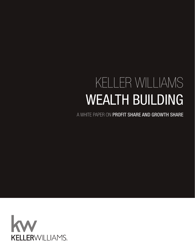# KELLER WILLIAMS WEALTH BUILDING

A WHITE PAPER ON PROFIT SHARE AND GROWTH SHARE

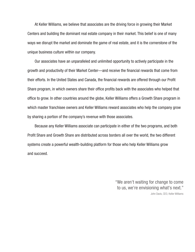At Keller Williams, we believe that associates are the driving force in growing their Market Centers and building the dominant real estate company in their market. This belief is one of many ways we disrupt the market and dominate the game of real estate, and it is the cornerstone of the unique business culture within our company.

Our associates have an unparalleled and unlimited opportunity to actively participate in the growth and productivity of their Market Center—and receive the financial rewards that come from their efforts. In the United States and Canada, the financial rewards are offered through our Profit Share program, in which owners share their office profits back with the associates who helped that office to grow. In other countries around the globe, Keller Williams offers a Growth Share program in which master franchisee owners and Keller Williams reward associates who help the company grow by sharing a portion of the company's revenue with those associates.

Because any Keller Williams associate can participate in either of the two programs, and both Profit Share and Growth Share are distributed across borders all over the world, the two different systems create a powerful wealth-building platform for those who help Keller Williams grow and succeed.

> "We aren't waiting for change to come to us, we're envisioning what's next." John Davis, CEO, Keller Williams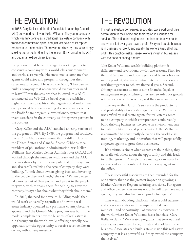## THE EVOLUTION

In 1986, Gary Keller and the first Associate Leadership Council (ALC) convened to reinvent Keller Williams. The young company, which was functioning as a traditional real estate company with traditional commission splits, had just lost seven of its top ten producers to a competitor. There was no discord; they were simply seeking better deals. Heeding the lesson, Gary turned to the ALC and began an extraordinary journey.

He proposed that he and the agents work together to construct a company with a world-class environment and world-class people. He envisioned a company that agents could enjoy and prosper in throughout their career—and beyond. He asked the ALC, "How can we build a company that no one would ever want or need to leave?" From the sessions that followed, this ALC constructed the WI4C2TS belief system, established higher commission splits so that agents could make their own personal business spending decisions, and developed the Profit Share program, a revolutionary system that treats associates in the company as if they were partners in the business.

Gary Keller and the ALC launched an early version of the program in 1987. By 1989, the program had solidified into a Profit Share system—one that is still in place in the United States and Canada. Sharon Gibbons, vice president of philanthropic administration, was Keller Williams' first Market Center Administrator (MCA) and worked through the numbers with Gary and the ALC. She was struck by the immense potential of this system and also recalls realizing the type of company they were building. "Think about owners giving back and investing in the people they work with," she says. "When owners take money out of their pocket and give it to the people they work with to thank them for helping to grow the company, it says a lot about what they think about them."

In 2010, the need for a wealth-building model that would work universally, regardless of how the real estate industry operated in a particular country, became apparant and the Growth Share program was born. The model complements how the business of real estate is run throughout the world, while offering a wholly new opportunity—the opportunity to receive revenue like an owner, without any investment.

# THE REVOLUTION

In most real estate companies, associates pay a portion of their commission to their office and their region in exchange for services. The office and region use that income to cover costs, and what's left over goes toward profit. Every real estate business is in business for profit, and usually the owners keep all of that profit. This practice makes sense: owners invest in businesses with the hope of seeing a return.

The Keller Williams wealth-building platform is different—and revolutionary—for two reasons. First, for the first time in the industry, agents and brokers became interdependent, sharing a mutual interest in success and working together to achieve financial goals. Second, although associates do not assume financial, legal, or management responsibilities, they are rewarded for growth with a portion of the revenue, as if they were an owner.

The key to the platform's success is the productivity and profitability of real estate agents. Keller Williams was crafted by real estate agents for real estate agents to be a company in which entrepreneurs could readily build thriving businesses. To create an environment sure to foster profitability and productivity, Keller Williams is committed to consistently delivering the world-class training, marketing, and innovation that will purposefully empower agents to grow their businesses.

It's a virtuous circle: when agents are flourishing, they naturally tell others about the opportunity and this leads to further growth. A single office manager can never be as powerful as the combined efforts of every agent in the office.

These successful associates are then rewarded for the one activity that has the greatest impact on growing a Market Center or Region: referring associates. For agents and office owners, this means not only will they have more agents, they will also have more productive agents!

This wealth-building platform makes a bold statement and allows associates in the company to take on the mindset—and opportunity—of ownership anywhere in the world where Keller Williams has a franchise. Gary Keller explains, "We created programs that treat our real estate sales associates like legitimate stakeholders in the business. Associates can build a stake inside this real estate company that is as powerful as if they owned the company themselves."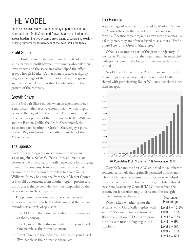# THE MODEL

Because associates have the opportunity to participate in both plans, and both Profit Share and Growth Share are distributed across borders, the two systems are creating a synergistic wealthbuilding platform for all members of the Keller Williams family.

#### Profit Share

In the Profit Share model, each month the Market Center splits its owner profit between the owners who risk their investments and the associates who helped the office grow. Though Market Center owners receive a slightly larger percentage of the split, associates are recognized and compensated for their direct contribution to the growth of the company.

#### Growth Share

In the Growth Share model, when an agent completes a transaction, they receive a commission, which is split between that agent and their office. Every month that office sends a portion of their revenue to Keller Williams and the Region. Unlike the Profit Share model, the associates participating in Growth Share enjoy a portion of their Region's bottom line, rather than that of the Market Center.

#### The Sponsor

Each of these programs are set in motion when an associate joins a Keller Williams office and names one person as the individual primarily responsible for bringing them to the company. It may not have been the first person or the last person they talked to about Keller Williams. It may be someone from their Market Center, or it could be someone from another region, province, or country. It is the person who was most impactful on their decision to join the company.

The potential is exponential. Everyone names a sponsor when they join Keller Williams, and the system rewards seven levels of sponsors.

- Level One are the individuals who directly name you as their sponsor.
- Level Two are the individuals who name your Level One people as their direct sponsors.
- Level Three are the individual who name your Level Two people as their direct sponsors, etc.

#### The Formula

A percentage of revenue is disbursed by Market Centers or Regions through the seven levels based on a set formula. Because these programs grow great branches like a family tree, they are often referred to as either a "Profit Share Tree" or a "Growth Share Tree."

When associates are part of the growth trajectory of any Keller Williams office, they can literally be rewarded with passive, potentially long-term income without any capital.

As of November 2017, the Profit Share and Growth Share programs have resulted in more than \$1 billion shared with participating Keller Williams associates since their inception.



KW Cumulative Profit Share from 1997–November 2017

Gary Keller and the first ALC crunched the numbers to construct a formula that optimally rewarded both owners who risked their investments and associates who helped grow the company. In subsequent years, the International Associate Leadership Council (IALC) has refined the system, but it has ultimately underscored the strength of the numbers as they exist.

When asked whether or not the systems work, Gary Keller replies with surety. "It's a mathematical formula. It's not a question of 'Does it work or not?' It's a matter of plugging in the numbers."

| Distribution<br>Percentages |
|-----------------------------|
| Level 7 = 12.5%             |
| Level 6 $=10\%$             |
| Level $5 = 7.5%$            |
| Level $4 = 5\%$             |
| Level $3 = 5%$              |
| Level 2 $= 10\%$            |
| Level $1 = 50\%$            |
|                             |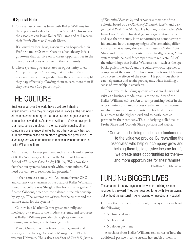#### Of Special Note

- 1. Once an associate has been with Keller Williams for three years and a day, he or she is "vested." This means the associate can leave Keller Williams and still receive their Profit Share or Growth Share.
- 2. If allowed by local laws, associates can bequeath their Profit Share or Growth Share to a beneficiary. It is a gift—one that can live on to create opportunities in the lives of loved ones or others in the community.
- 3. These systems give associates an opportunity to earn "100 percent-plus," meaning that a participating associate can earn far greater than the commission split they pay, effectively allowing them to earn more than if they were on a 100 percent split.

### THE CULTURE

Businesses all over the world have used profit sharing arrangements since they first appeared in France at the beginning of the nineteenth century. In the United States, large successful companies as varied as Southwest Airlines to Verizon have profit sharing structures in place. In the real estate industry, other companies use revenue sharing, but no other company has such a unique system based on an office's growth and production—as such a system would be difficult to maintain without the unique Keller Williams culture.

Mary Tennant, former president and current board member of Keller Williams, explained in the Stanford Graduate School of Business Case Study, HR-29, "We know for a fact that our systems don't work without our culture. We need our culture to reach our full potential."

In that same case study, Mo Anderson, former CEO and current vice chairman of the board of Keller Williams, stated that culture was "the glue that holds it all together." Sharon Gibbons, described the balance in the relationship by saying, "The systems are written for the culture and the culture exists for the systems."

Culture in a Market Center grows naturally and inevitably as a result of the models, systems, and resources that Keller Williams provides through its extensive training, marketing, and technology tools.

Marco Ottaviani is a professor of management and strategy at the Kellogg School of Management, Northwestern University. He is also a coeditor of *The B.E. Journal* 

*of Theoretical Economics*, and serves as a member of the editorial board of *The Review of Economic Studies* and *The Journal of Prediction Markets*. He has taught the Keller Williams Case Study in his strategy and organization course and says that the study is an opportunity to demonstrate to his students how a company might offer something different than what is being done in the industry. Of the Profit Share and Growth Share systems specifically, he says, "This system would be hard for competitors to replicate. All of the other things that Keller Williams has—such as the open books policy, the ALC, and the culture—work together to complement the system." In his course, Professor Ottaviani also covers the effects of the system. He points out that it can help attract and retain good agents, while instilling a sense of ownership in associates.

These wealth-building systems are extraordinary and exist as a business model thanks to the solidity of the Keller Williams culture. An uncompromising belief in the opportunities of shared success creates an infrastructure in which associates are supported to both take their businesses to the highest level and to participate as partners in their company. This underlying belief makes Profit Share and Growth Share possible and viable.

"Our wealth-building models are fundamental to the value we provide. By rewarding the associates who help our company grow and helping them build passive income for life, we create more opportunities for them and more opportunities for their families."

John Davis, CEO, Keller Williams

### FUNDING BIGGER LIVES

The amount of money anyone in the wealth-building systems receives is a reward. They are rewarded for growth like an owner, but without the personal risks of owning or investing any capital.

Unlike other forms of investment, these systems can boast the following:

- No financial risk
- No legal risk
- No down payment

Associates from Keller Williams tell stories of how the additional passive income stream has enabled them to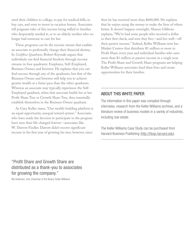send their children to college, to pay for medical bills, to buy cars, and even to invest in vacation homes. Associates tell poignant tales of this income being willed to families who desperately needed it, or to an elderly mother who no longer had someone to care for her.

These programs can be the income stream that enables an associate to profoundly change their financial destiny. In *Cashflow Quadrant*, Robert Kiyosaki argues that individuals can find financial freedom through income streams in four quadrants: Employee, Self-Employed, Business Owner, and Investor. He explains that you can find success through any of the quadrants, but that of the Business Owner and Investor will help you to achieve greater wealth at a faster pace than the other quadrants. Whereas an associate may typically experience the Self-Employed quadrant, when that associate builds his or her Profit Share Tree or Growth Share Tree, they essentially establish themselves in the Business Owner quadrant.

As Gary Keller states, "Our wealth-building platform is an equal opportunity, unequal reward system." Associates who have made the decision to participate in the program have seen their life changed forever—associates like W. Darrow Fiedler. Darrow didn't receive significant income in his first year of growing his tree; however, since

then he has received more than \$600,000. He explains that he enjoys using the money to make the lives of others better. It doesn't happen overnight. Sharon Gibbons explains, "We've had some people who received a dollar in their first check, and now they live—and live well—off their passive income." Indeed, Keller Williams now has Market Centers that distribute \$1 million or more in Profit Share every year and individual families who earn more than \$1 million in passive income in a single year. The Profit Share and Growth Share programs are helping Keller Williams associates fund their lives and create opportunities for their families.

#### ABOUT THIS WHITE PAPER

The information in this paper was compiled through interviews, research from the Keller Williams archives, and a literature review of business models in a variety of industries, including real estate.

The Keller Williams Case Study can be purchased from Harvard Business Publishing (http://hbsp.harvard.edu).

"Profit Share and Growth Share are distributed as a thank-you to associates for growing the company."

Mo Anderson, Vice Chairman of the Board, Keller Williams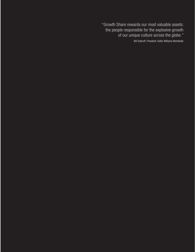"Growth Share rewards our most valuable assets: the people responsible for the explosive growth of our unique culture across the globe." Bill Soteroff, President, Keller Williams Worldwide